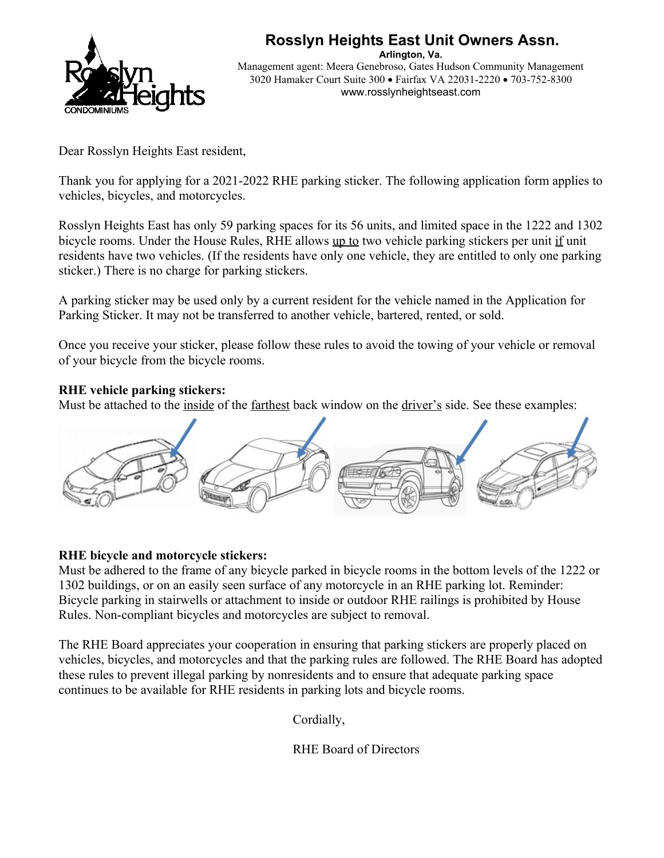

## **Rosslyn Heights East Unit Owners Assn.**

**Arlington, Va.** Management agent: Meera Genebroso, Gates Hudson Community Management 3020 Hamaker Court Suite 300 · Fairfax VA 22031-2220 · 703-752-8300 www.rosslynheightseast.com

Dear Rosslyn Heights East resident,

Thank you for applying for a 2021-2022 RHE parking sticker. The following application form applies to vehicles, bicycles, and motorcycles.

Rosslyn Heights East has only 59 parking spaces for its 56 units, and limited space in the 1222 and 1302 bicycle rooms. Under the House Rules, RHE allows up to two vehicle parking stickers per unit if unit residents have two vehicles. (If the residents have only one vehicle, they are entitled to only one parking sticker.) There is no charge for parking stickers.

A parking sticker may be used only by a current resident for the vehicle named in the Application for Parking Sticker. It may not be transferred to another vehicle, bartered, rented, or sold.

Once you receive your sticker, please follow these rules to avoid the towing of your vehicle or removal of your bicycle from the bicycle rooms.

#### **RHE vehicle parking stickers:**

Must be attached to the inside of the farthest back window on the driver's side. See these examples:



#### **RHE bicycle and motorcycle stickers:**

Must be adhered to the frame of any bicycle parked in bicycle rooms in the bottom levels of the 1222 or 1302 buildings, or on an easily seen surface of any motorcycle in an RHE parking lot. Reminder: Bicycle parking in stairwells or attachment to inside or outdoor RHE railings is prohibited by House Rules. Non-compliant bicycles and motorcycles are subject to removal.

The RHE Board appreciates your cooperation in ensuring that parking stickers are properly placed on vehicles, bicycles, and motorcycles and that the parking rules are followed. The RHE Board has adopted these rules to prevent illegal parking by nonresidents and to ensure that adequate parking space continues to be available for RHE residents in parking lots and bicycle rooms.

Cordially,

RHE Board of Directors